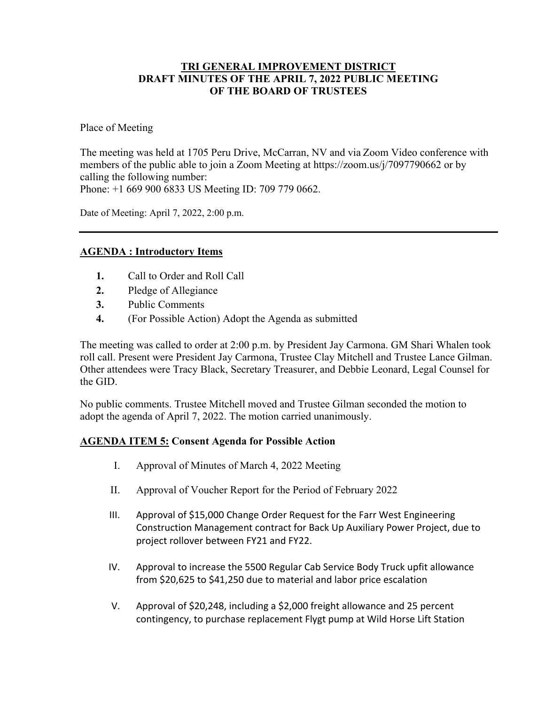### **TRI GENERAL IMPROVEMENT DISTRICT DRAFT MINUTES OF THE APRIL 7, 2022 PUBLIC MEETING OF THE BOARD OF TRUSTEES**

#### Place of Meeting

The meeting was held at 1705 Peru Drive, McCarran, NV and via Zoom Video conference with members of the public able to join a Zoom Meeting at<https://zoom.us/j/7097790662>or by calling the following number: Phone: +1 669 900 6833 US Meeting ID: 709 779 0662.

Date of Meeting: April 7, 2022, 2:00 p.m.

# **AGENDA : Introductory Items**

- **1.** Call to Order and Roll Call
- **2.** Pledge of Allegiance
- **3.** Public Comments
- **4.** (For Possible Action) Adopt the Agenda as submitted

The meeting was called to order at 2:00 p.m. by President Jay Carmona. GM Shari Whalen took roll call. Present were President Jay Carmona, Trustee Clay Mitchell and Trustee Lance Gilman. Other attendees were Tracy Black, Secretary Treasurer, and Debbie Leonard, Legal Counsel for the GID.

No public comments. Trustee Mitchell moved and Trustee Gilman seconded the motion to adopt the agenda of April 7, 2022. The motion carried unanimously.

# **AGENDA ITEM 5: Consent Agenda for Possible Action**

- I. Approval of Minutes of March 4, 2022 Meeting
- II. Approval of Voucher Report for the Period of February 2022
- III. Approval of \$15,000 Change Order Request for the Farr West Engineering Construction Management contract for Back Up Auxiliary Power Project, due to project rollover between FY21 and FY22.
- IV. Approval to increase the 5500 Regular Cab Service Body Truck upfit allowance from \$20,625 to \$41,250 due to material and labor price escalation
- V. Approval of \$20,248, including a \$2,000 freight allowance and 25 percent contingency, to purchase replacement Flygt pump at Wild Horse Lift Station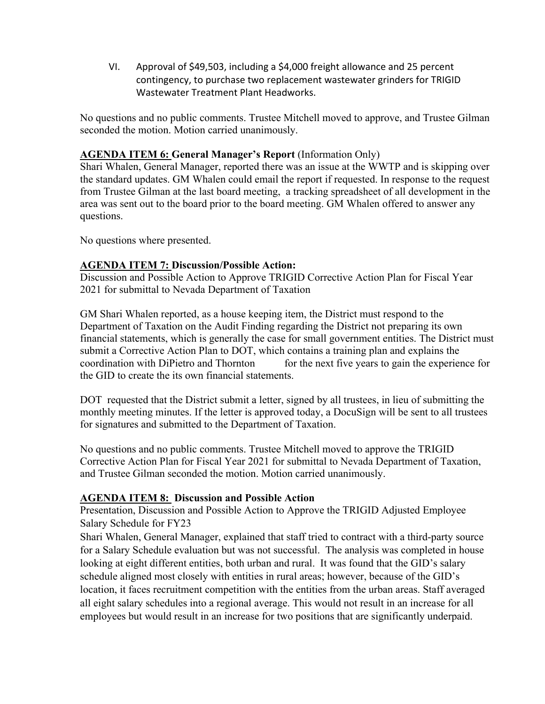VI. Approval of \$49,503, including a \$4,000 freight allowance and 25 percent contingency, to purchase two replacement wastewater grinders for TRIGID Wastewater Treatment Plant Headworks.

No questions and no public comments. Trustee Mitchell moved to approve, and Trustee Gilman seconded the motion. Motion carried unanimously.

# **AGENDA ITEM 6: General Manager's Report** (Information Only)

Shari Whalen, General Manager, reported there was an issue at the WWTP and is skipping over the standard updates. GM Whalen could email the report if requested. In response to the request from Trustee Gilman at the last board meeting, a tracking spreadsheet of all development in the area was sent out to the board prior to the board meeting. GM Whalen offered to answer any questions.

No questions where presented.

# **AGENDA ITEM 7: Discussion/Possible Action:**

Discussion and Possible Action to Approve TRIGID Corrective Action Plan for Fiscal Year 2021 for submittal to Nevada Department of Taxation

GM Shari Whalen reported, as a house keeping item, the District must respond to the Department of Taxation on the Audit Finding regarding the District not preparing its own financial statements, which is generally the case for small government entities. The District must submit a Corrective Action Plan to DOT, which contains a training plan and explains the coordination with DiPietro and Thornton for the next five years to gain the experience for the GID to create the its own financial statements.

DOT requested that the District submit a letter, signed by all trustees, in lieu of submitting the monthly meeting minutes. If the letter is approved today, a DocuSign will be sent to all trustees for signatures and submitted to the Department of Taxation.

No questions and no public comments. Trustee Mitchell moved to approve the TRIGID Corrective Action Plan for Fiscal Year 2021 for submittal to Nevada Department of Taxation, and Trustee Gilman seconded the motion. Motion carried unanimously.

# **AGENDA ITEM 8: Discussion and Possible Action**

Presentation, Discussion and Possible Action to Approve the TRIGID Adjusted Employee Salary Schedule for FY23

Shari Whalen, General Manager, explained that staff tried to contract with a third-party source for a Salary Schedule evaluation but was not successful. The analysis was completed in house looking at eight different entities, both urban and rural. It was found that the GID's salary schedule aligned most closely with entities in rural areas; however, because of the GID's location, it faces recruitment competition with the entities from the urban areas. Staff averaged all eight salary schedules into a regional average. This would not result in an increase for all employees but would result in an increase for two positions that are significantly underpaid.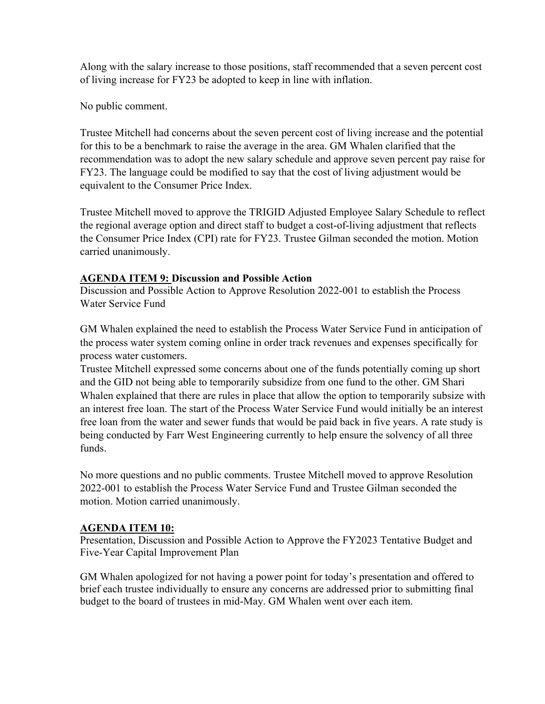Along with the salary increase to those positions, staff recommended that a seven percent cost of living increase for FY23 be adopted to keep in line with inflation.

No public comment.

Trustee Mitchell had concerns about the seven percent cost of living increase and the potential for this to be a benchmark to raise the average in the area. GM Whalen clarified that the recommendation was to adopt the new salary schedule and approve seven percent pay raise for FY23. The language could be modified to say that the cost of living adjustment would be equivalent to the Consumer Price Index.

Trustee Mitchell moved to approve the TRIGID Adjusted Employee Salary Schedule to reflect the regional average option and direct staff to budget a cost-of-living adjustment that reflects the Consumer Price Index (CPI) rate for FY23. Trustee Gilman seconded the motion. Motion carried unanimously.

### **AGENDA ITEM 9: Discussion and Possible Action**

Discussion and Possible Action to Approve Resolution 2022-001 to establish the Process Water Service Fund

GM Whalen explained the need to establish the Process Water Service Fund in anticipation of the process water system coming online in order track revenues and expenses specifically for process water customers.

Trustee Mitchell expressed some concerns about one of the funds potentially coming up short and the GID not being able to temporarily subsidize from one fund to the other. GM Shari Whalen explained that there are rules in place that allow the option to temporarily subsize with an interest free loan. The start of the Process Water Service Fund would initially be an interest free loan from the water and sewer funds that would be paid back in five years. A rate study is being conducted by Farr West Engineering currently to help ensure the solvency of all three funds.

No more questions and no public comments. Trustee Mitchell moved to approve Resolution 2022-001 to establish the Process Water Service Fund and Trustee Gilman seconded the motion. Motion carried unanimously.

# **AGENDA ITEM 10:**

Presentation, Discussion and Possible Action to Approve the FY2023 Tentative Budget and Five-Year Capital Improvement Plan

GM Whalen apologized for not having a power point for today's presentation and offered to brief each trustee individually to ensure any concerns are addressed prior to submitting final budget to the board of trustees in mid-May. GM Whalen went over each item.